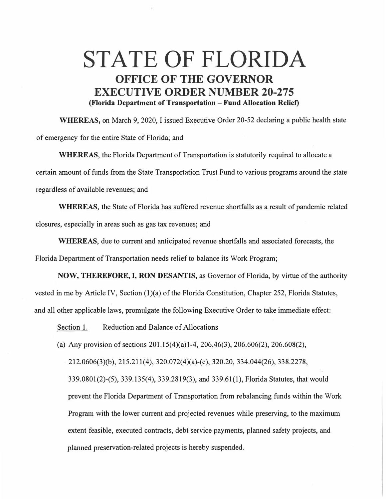## **STATE OF FLORIDA OFFICE OF THE GOVERNOR EXECUTIVE ORDER NUMBER 20-275 (Florida Department of Transportation - Fund Allocation Relief)**

**WHEREAS,** on March 9, 2020, I issued Executive Order 20-52 declaring a public health state of emergency for the entire State of Florida; and

**WHEREAS,** the Florida Department of Transportation is statutorily required to allocate a certain amount of funds from the State Transportation Trust Fund to various programs around the state regardless of available revenues; and

**WHEREAS,** the State of Florida has suffered revenue shortfalls as a result of pandemic related closures, especially in areas such as gas tax revenues; and

**WHEREAS,** due to current and anticipated revenue shortfalls and associated forecasts, the Florida Department of Transportation needs relief to balance its Work Program;

**NOW, THEREFORE, I, RON DESANTIS,** as Governor of Florida, by virtue of the authority vested in me by Article IV, Section (1)(a) of the Florida Constitution, Chapter 252, Florida Statutes, and all other applicable laws, promulgate the following Executive Order to take immediate effect:

Section 1. Reduction and Balance of Allocations

(a) Any provision of sections  $201.15(4)(a)1-4$ ,  $206.46(3)$ ,  $206.606(2)$ ,  $206.608(2)$ ,

212.0606(3)(b), 215.211(4), 320.072(4)(a)-(e), 320.20, 334.044(26), 338.2278,

339.0801(2)-(5), 339.135(4), 339.2819(3), and 339.61(1), Florida Statutes, that would prevent the Florida Department of Transportation from rebalancing funds within the Work Program with the lower current and projected revenues while preserving, to the maximum extent feasible, executed contracts, debt service payments, planned safety projects, and planned preservation-related projects is hereby suspended.